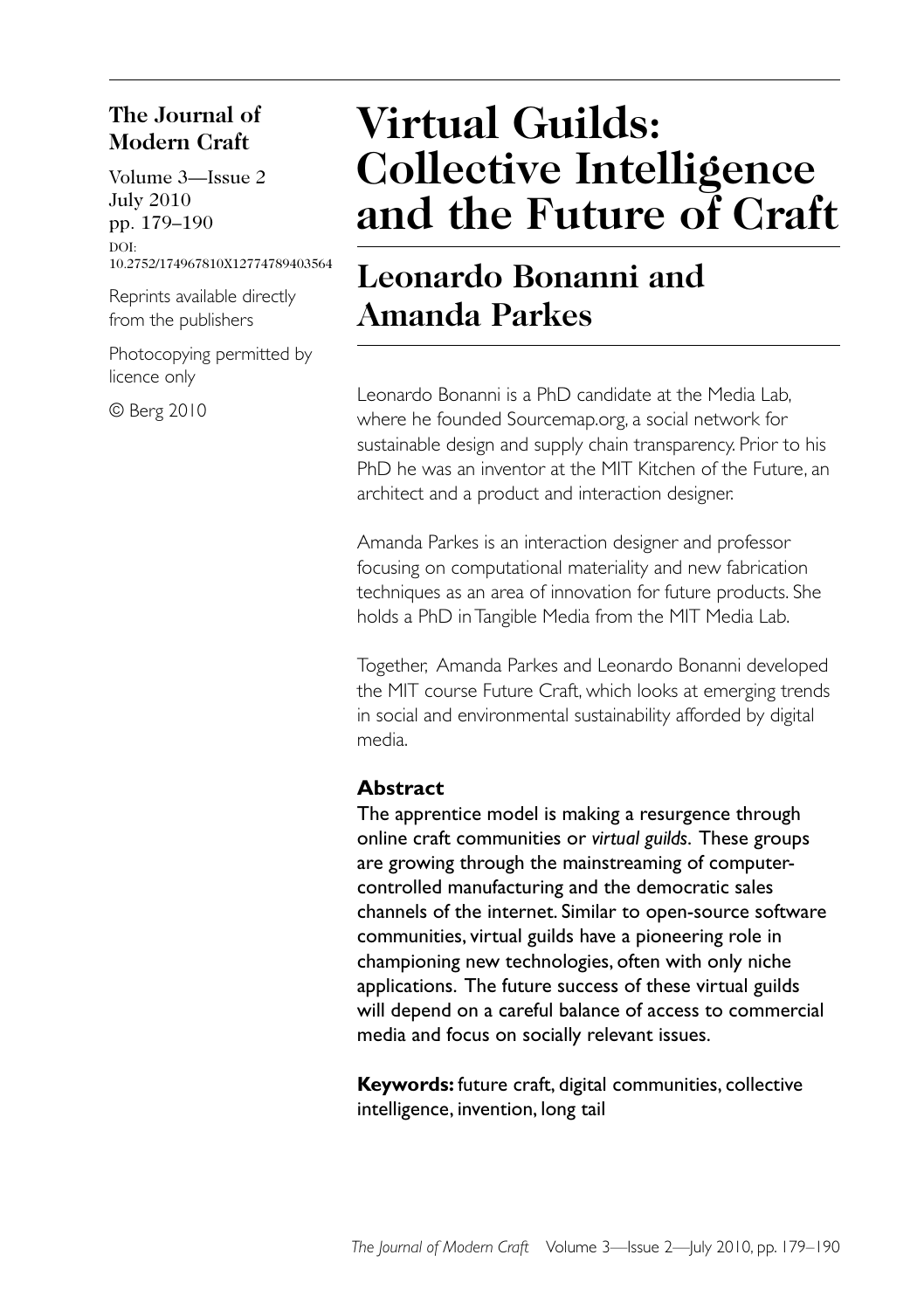# The Journal of Modern Craft

Volume 3-Issue 2 **July 2010** pp. 179-190 DOI: 10.2752/174967810X12774789403564

Reprints available directly from the publishers

Photocopying permitted by licence only

© Berg 2010

# **Virtual Guilds:** Collective Intelligence and the Future of Craft

# Leonardo Bonanni and **Amanda Parkes**

Leonardo Bonanni is a PhD candidate at the Media Lab. where he founded Sourcemap.org, a social network for sustainable design and supply chain transparency. Prior to his PhD he was an inventor at the MIT Kitchen of the Future, an architect and a product and interaction designer.

Amanda Parkes is an interaction designer and professor focusing on computational materiality and new fabrication techniques as an area of innovation for future products. She holds a PhD in Tangible Media from the MIT Media Lab.

Together, Amanda Parkes and Leonardo Bonanni developed the MIT course Future Craft, which looks at emerging trends in social and environmental sustainability afforded by digital media.

# **Abstract**

The apprentice model is making a resurgence through online craft communities or virtual guilds. These groups are growing through the mainstreaming of computercontrolled manufacturing and the democratic sales channels of the internet. Similar to open-source software communities, virtual guilds have a pioneering role in championing new technologies, often with only niche applications. The future success of these virtual guilds will depend on a careful balance of access to commercial media and focus on socially relevant issues.

Keywords: future craft, digital communities, collective intelligence, invention, long tail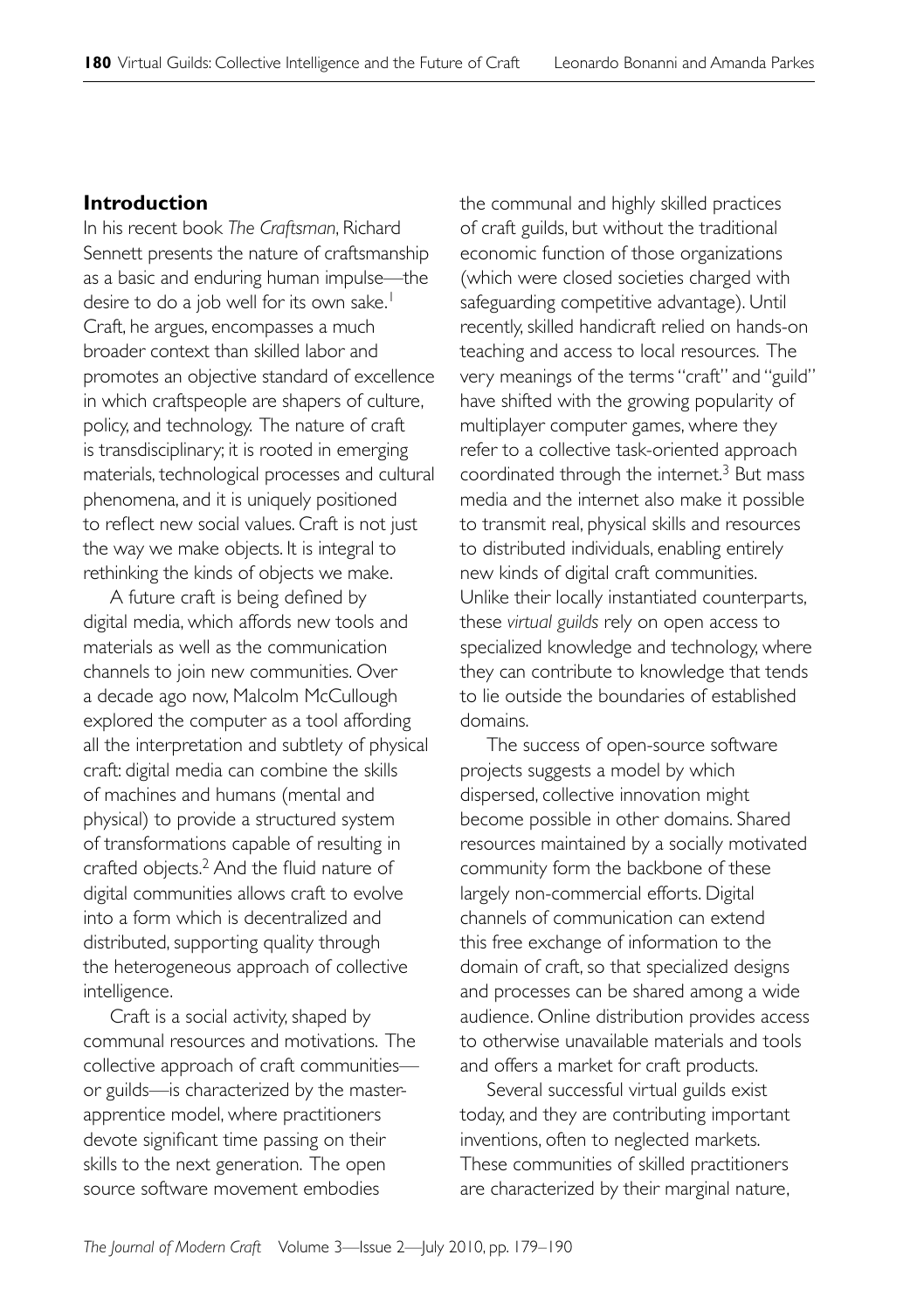#### **Introduction**

In his recent book The Craftsman, Richard Sennett presents the nature of craftsmanship as a basic and enduring human impulse—the desire to do a job well for its own sake.<sup>1</sup> Craft, he argues, encompasses a much broader context than skilled labor and promotes an objective standard of excellence in which craftspeople are shapers of culture, policy, and technology. The nature of craft is transdisciplinary; it is rooted in emerging materials, technological processes and cultural phenomena, and it is uniquely positioned to reflect new social values. Craft is not just the way we make objects. It is integral to rethinking the kinds of objects we make.

A future craft is being defined by digital media, which affords new tools and materials as well as the communication channels to join new communities. Over a decade ago now, Malcolm McCullough explored the computer as a tool affording all the interpretation and subtlety of physical craft: digital media can combine the skills of machines and humans (mental and physical) to provide a structured system of transformations capable of resulting in crafted objects.<sup>2</sup> And the fluid nature of digital communities allows craft to evolve into a form which is decentralized and distributed, supporting quality through the heterogeneous approach of collective intelligence.

Craft is a social activity, shaped by communal resources and motivations. The collective approach of craft communitiesor guilds-is characterized by the masterapprentice model, where practitioners devote significant time passing on their skills to the next generation. The open source software movement embodies

the communal and highly skilled practices of craft guilds, but without the traditional economic function of those organizations (which were closed societies charged with safeguarding competitive advantage). Until recently, skilled handicraft relied on hands-on teaching and access to local resources. The very meanings of the terms "craft" and "guild" have shifted with the growing popularity of multiplayer computer games, where they refer to a collective task-oriented approach coordinated through the internet.<sup>3</sup> But mass media and the internet also make it possible to transmit real, physical skills and resources to distributed individuals, enabling entirely new kinds of digital craft communities. Unlike their locally instantiated counterparts, these virtual guilds rely on open access to specialized knowledge and technology, where they can contribute to knowledge that tends to lie outside the boundaries of established domains.

The success of open-source software projects suggests a model by which dispersed, collective innovation might become possible in other domains. Shared resources maintained by a socially motivated community form the backbone of these largely non-commercial efforts. Digital channels of communication can extend this free exchange of information to the domain of craft, so that specialized designs and processes can be shared among a wide audience. Online distribution provides access to otherwise unavailable materials and tools and offers a market for craft products.

Several successful virtual guilds exist today, and they are contributing important inventions, often to neglected markets. These communities of skilled practitioners are characterized by their marginal nature,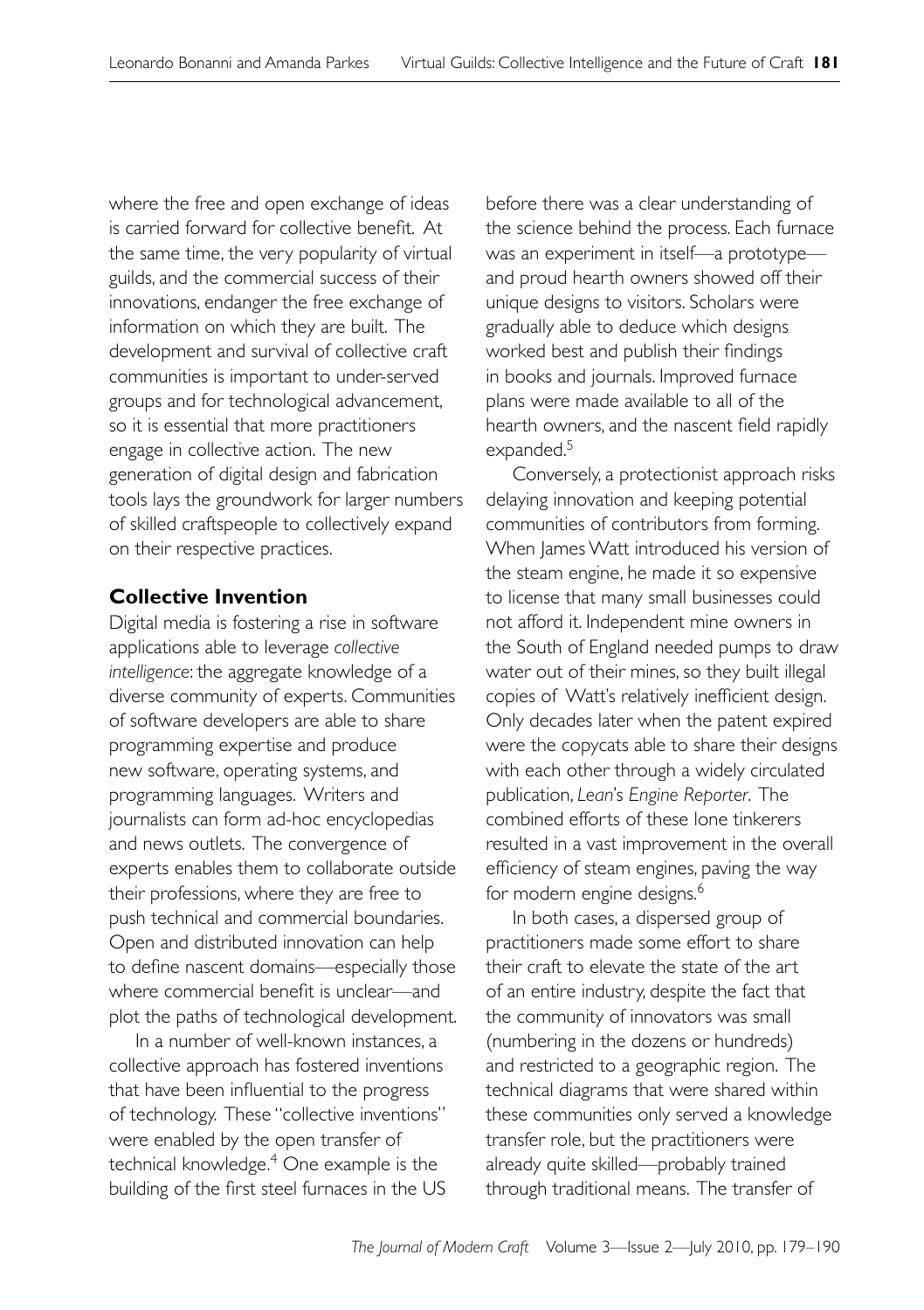where the free and open exchange of ideas is carried forward for collective benefit. At the same time, the very popularity of virtual guilds, and the commercial success of their innovations, endanger the free exchange of information on which they are built. The development and survival of collective craft communities is important to under-served groups and for technological advancement, so it is essential that more practitioners engage in collective action. The new generation of digital design and fabrication tools lays the groundwork for larger numbers of skilled craftspeople to collectively expand on their respective practices.

#### **Collective Invention**

Digital media is fostering a rise in software applications able to leverage collective intelligence: the aggregate knowledge of a diverse community of experts. Communities of software developers are able to share programming expertise and produce new software, operating systems, and programming languages. Writers and journalists can form ad-hoc encyclopedias and news outlets. The convergence of experts enables them to collaborate outside their professions, where they are free to push technical and commercial boundaries. Open and distributed innovation can help to define nascent domains-especially those where commercial benefit is unclear-and plot the paths of technological development.

In a number of well-known instances, a collective approach has fostered inventions that have been influential to the progress of technology. These "collective inventions" were enabled by the open transfer of technical knowledge.<sup>4</sup> One example is the building of the first steel furnaces in the US before there was a clear understanding of the science behind the process. Each furnace was an experiment in itself-a prototypeand proud hearth owners showed off their unique designs to visitors. Scholars were gradually able to deduce which designs worked best and publish their findings in books and journals. Improved furnace plans were made available to all of the hearth owners, and the nascent field rapidly expanded.<sup>5</sup>

Conversely, a protectionist approach risks delaying innovation and keeping potential communities of contributors from forming. When James Watt introduced his version of the steam engine, he made it so expensive to license that many small businesses could not afford it. Independent mine owners in the South of England needed pumps to draw water out of their mines, so they built illegal copies of Watt's relatively inefficient design. Only decades later when the patent expired were the copycats able to share their designs with each other through a widely circulated publication, Lean's Engine Reporter. The combined efforts of these lone tinkerers resulted in a vast improvement in the overall efficiency of steam engines, paving the way for modern engine designs.<sup>6</sup>

In both cases, a dispersed group of practitioners made some effort to share their craft to elevate the state of the art of an entire industry, despite the fact that the community of innovators was small (numbering in the dozens or hundreds) and restricted to a geographic region. The technical diagrams that were shared within these communities only served a knowledge transfer role, but the practitioners were already quite skilled-probably trained through traditional means. The transfer of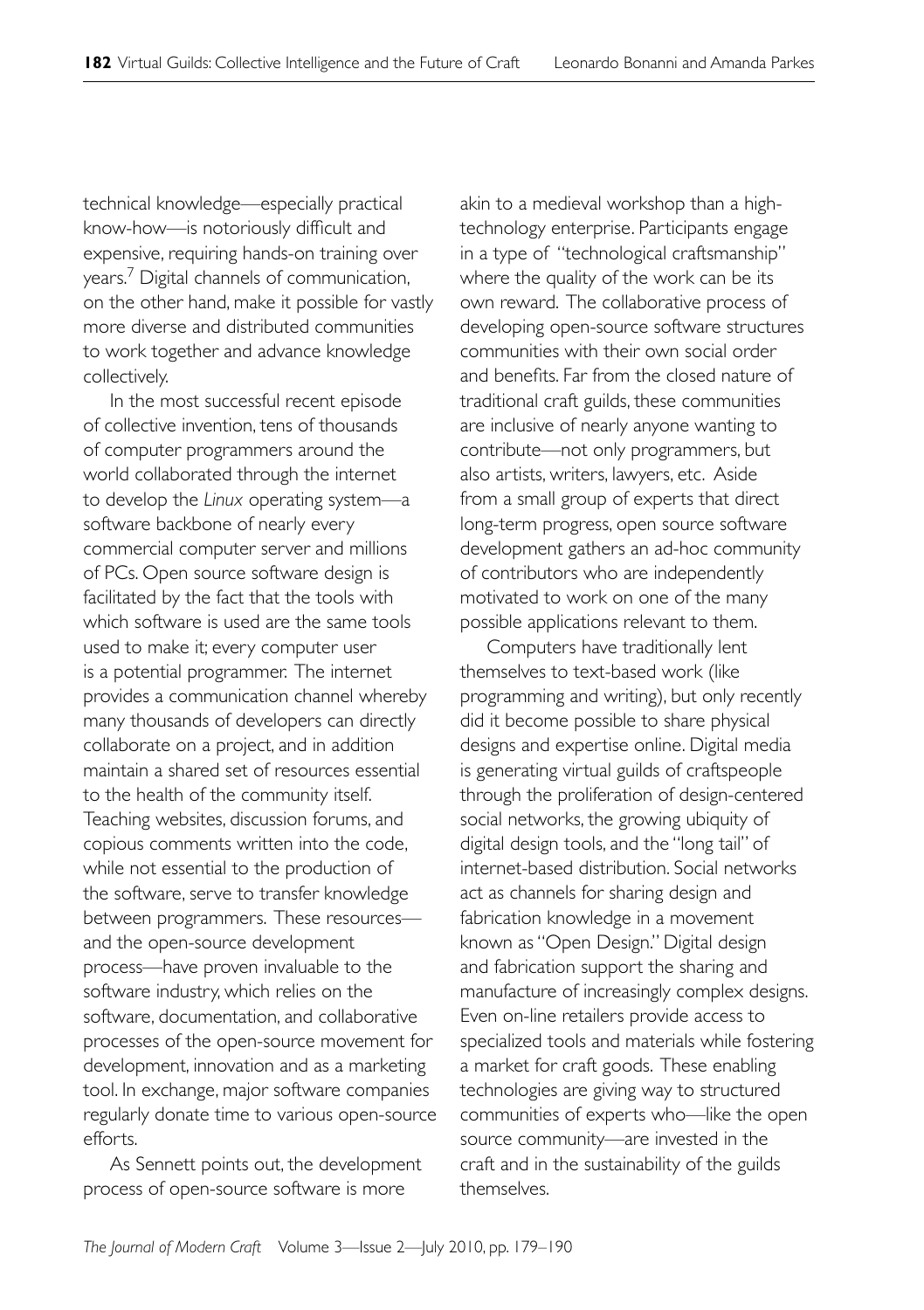technical knowledge—especially practical know-how-is notoriously difficult and expensive, requiring hands-on training over years.<sup>7</sup> Digital channels of communication, on the other hand, make it possible for vastly more diverse and distributed communities to work together and advance knowledge collectively.

In the most successful recent episode of collective invention, tens of thousands of computer programmers around the world collaborated through the internet to develop the Linux operating system-a software backbone of nearly every commercial computer server and millions of PCs. Open source software design is facilitated by the fact that the tools with which software is used are the same tools used to make it; every computer user is a potential programmer. The internet provides a communication channel whereby many thousands of developers can directly collaborate on a project, and in addition maintain a shared set of resources essential to the health of the community itself. Teaching websites, discussion forums, and copious comments written into the code, while not essential to the production of the software, serve to transfer knowledge between programmers. These resourcesand the open-source development process-have proven invaluable to the software industry, which relies on the software, documentation, and collaborative processes of the open-source movement for development, innovation and as a marketing tool. In exchange, major software companies regularly donate time to various open-source efforts.

As Sennett points out, the development process of open-source software is more

akin to a medieval workshop than a hightechnology enterprise. Participants engage in a type of "technological craftsmanship" where the quality of the work can be its own reward. The collaborative process of developing open-source software structures communities with their own social order and benefits. Far from the closed nature of traditional craft guilds, these communities are inclusive of nearly anyone wanting to contribute-not only programmers, but also artists, writers, lawyers, etc. Aside from a small group of experts that direct long-term progress, open source software development gathers an ad-hoc community of contributors who are independently motivated to work on one of the many possible applications relevant to them.

Computers have traditionally lent themselves to text-based work (like programming and writing), but only recently did it become possible to share physical designs and expertise online. Digital media is generating virtual guilds of craftspeople through the proliferation of design-centered social networks, the growing ubiquity of digital design tools, and the "long tail" of internet-based distribution. Social networks act as channels for sharing design and fabrication knowledge in a movement known as "Open Design." Digital design and fabrication support the sharing and manufacture of increasingly complex designs. Even on-line retailers provide access to specialized tools and materials while fostering a market for craft goods. These enabling technologies are giving way to structured communities of experts who-like the open source community-are invested in the craft and in the sustainability of the guilds themselves.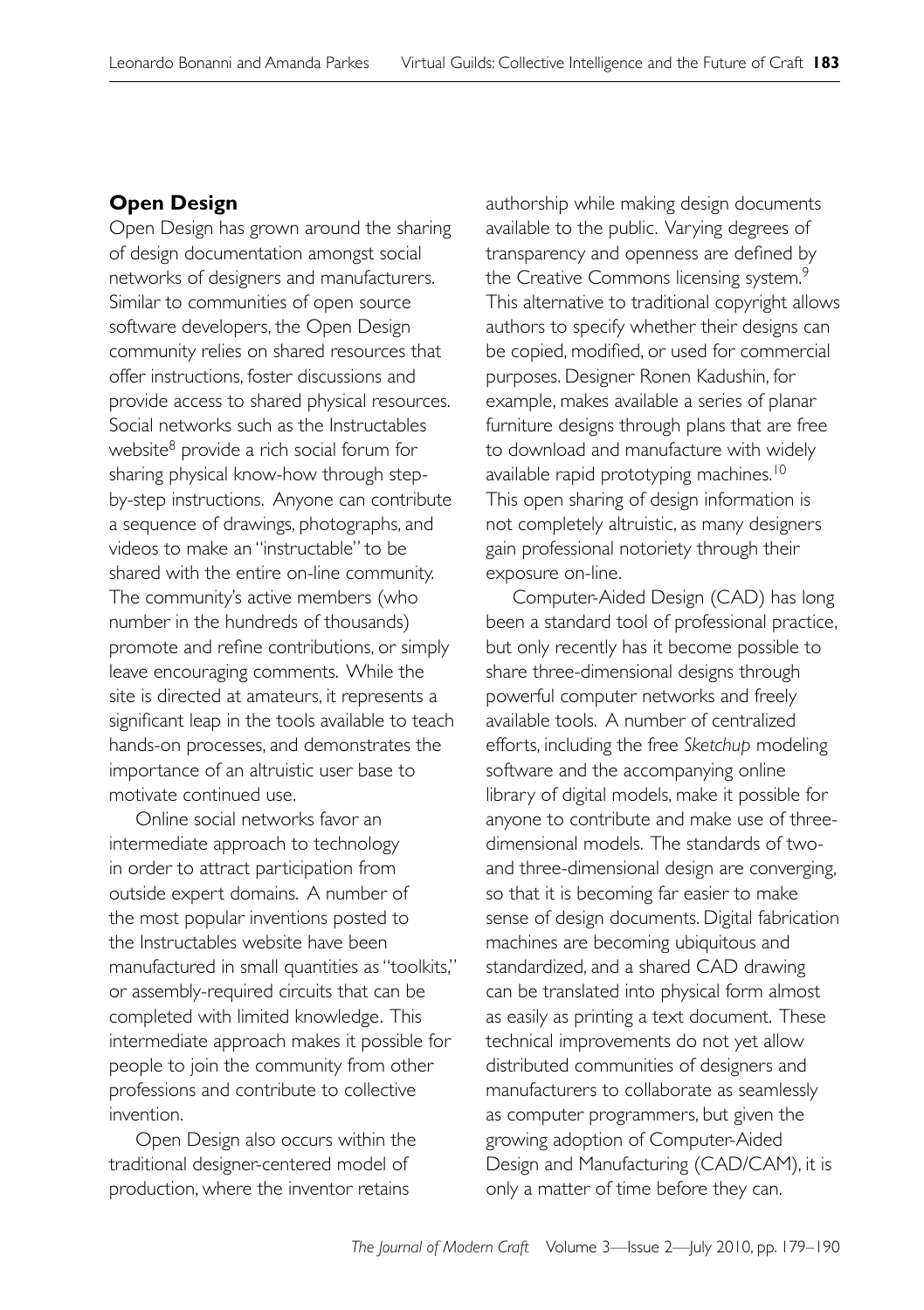# **Open Design**

Open Design has grown around the sharing of design documentation amongst social networks of designers and manufacturers. Similar to communities of open source software developers, the Open Design community relies on shared resources that offer instructions, foster discussions and provide access to shared physical resources. Social networks such as the Instructables website<sup>8</sup> provide a rich social forum for sharing physical know-how through stepby-step instructions. Anyone can contribute a sequence of drawings, photographs, and videos to make an "instructable" to be shared with the entire on-line community. The community's active members (who number in the hundreds of thousands) promote and refine contributions, or simply leave encouraging comments. While the site is directed at amateurs, it represents a significant leap in the tools available to teach hands-on processes, and demonstrates the importance of an altruistic user base to motivate continued use.

Online social networks favor an intermediate approach to technology in order to attract participation from outside expert domains. A number of the most popular inventions posted to the Instructables website have been manufactured in small quantities as "toolkits," or assembly-required circuits that can be completed with limited knowledge. This intermediate approach makes it possible for people to join the community from other professions and contribute to collective invention.

Open Design also occurs within the traditional designer-centered model of production, where the inventor retains

authorship while making design documents available to the public. Varying degrees of transparency and openness are defined by the Creative Commons licensing system.<sup>9</sup> This alternative to traditional copyright allows authors to specify whether their designs can be copied, modified, or used for commercial purposes. Designer Ronen Kadushin, for example, makes available a series of planar furniture designs through plans that are free to download and manufacture with widely available rapid prototyping machines.<sup>10</sup> This open sharing of design information is not completely altruistic, as many designers gain professional notoriety through their exposure on-line.

Computer-Aided Design (CAD) has long been a standard tool of professional practice, but only recently has it become possible to share three-dimensional designs through powerful computer networks and freely available tools. A number of centralized efforts, including the free Sketchup modeling software and the accompanying online library of digital models, make it possible for anyone to contribute and make use of threedimensional models. The standards of twoand three-dimensional design are converging, so that it is becoming far easier to make sense of design documents. Digital fabrication machines are becoming ubiquitous and standardized, and a shared CAD drawing can be translated into physical form almost as easily as printing a text document. These technical improvements do not yet allow distributed communities of designers and manufacturers to collaborate as seamlessly as computer programmers, but given the growing adoption of Computer-Aided Design and Manufacturing (CAD/CAM), it is only a matter of time before they can.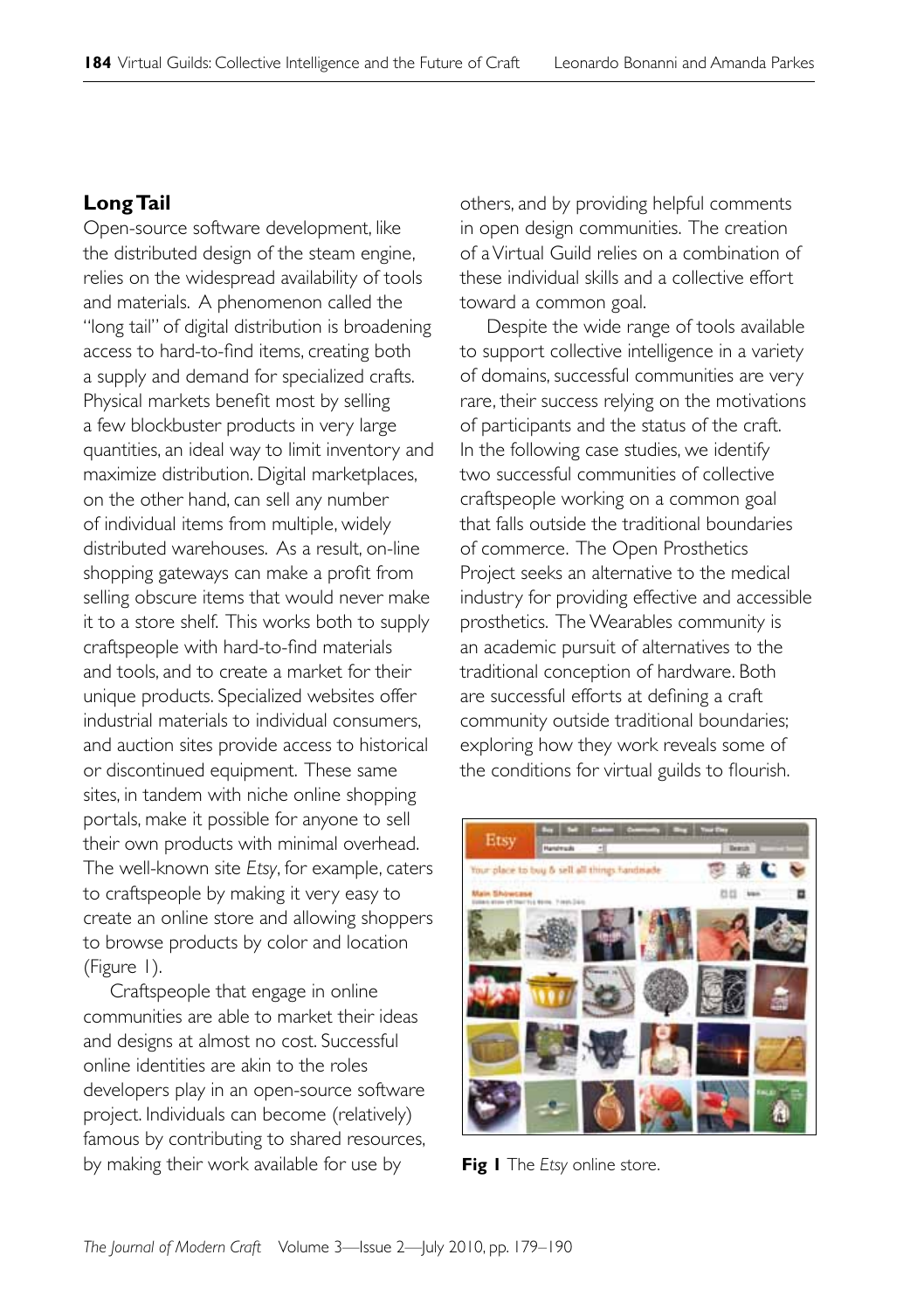# Long Tail

Open-source software development, like the distributed design of the steam engine, relies on the widespread availability of tools and materials. A phenomenon called the "long tail" of digital distribution is broadening access to hard-to-find items, creating both a supply and demand for specialized crafts. Physical markets benefit most by selling a few blockbuster products in very large quantities, an ideal way to limit inventory and maximize distribution. Digital marketplaces, on the other hand, can sell any number of individual items from multiple, widely distributed warehouses. As a result, on-line shopping gateways can make a profit from selling obscure items that would never make it to a store shelf. This works both to supply craftspeople with hard-to-find materials and tools, and to create a market for their unique products. Specialized websites offer industrial materials to individual consumers. and auction sites provide access to historical or discontinued equipment. These same sites, in tandem with niche online shopping portals, make it possible for anyone to sell their own products with minimal overhead. The well-known site Etsy, for example, caters to craftspeople by making it very easy to create an online store and allowing shoppers to browse products by color and location (Figure 1).

Craftspeople that engage in online communities are able to market their ideas and designs at almost no cost. Successful online identities are akin to the roles developers play in an open-source software project. Individuals can become (relatively) famous by contributing to shared resources, by making their work available for use by

others, and by providing helpful comments in open design communities. The creation of a Virtual Guild relies on a combination of these individual skills and a collective effort toward a common goal.

Despite the wide range of tools available to support collective intelligence in a variety of domains, successful communities are very rare, their success relying on the motivations of participants and the status of the craft. In the following case studies, we identify two successful communities of collective craftspeople working on a common goal that falls outside the traditional boundaries of commerce. The Open Prosthetics Project seeks an alternative to the medical industry for providing effective and accessible prosthetics. The Wearables community is an academic pursuit of alternatives to the traditional conception of hardware. Both are successful efforts at defining a craft community outside traditional boundaries; exploring how they work reveals some of the conditions for virtual guilds to flourish.



Fig I The Etsy online store.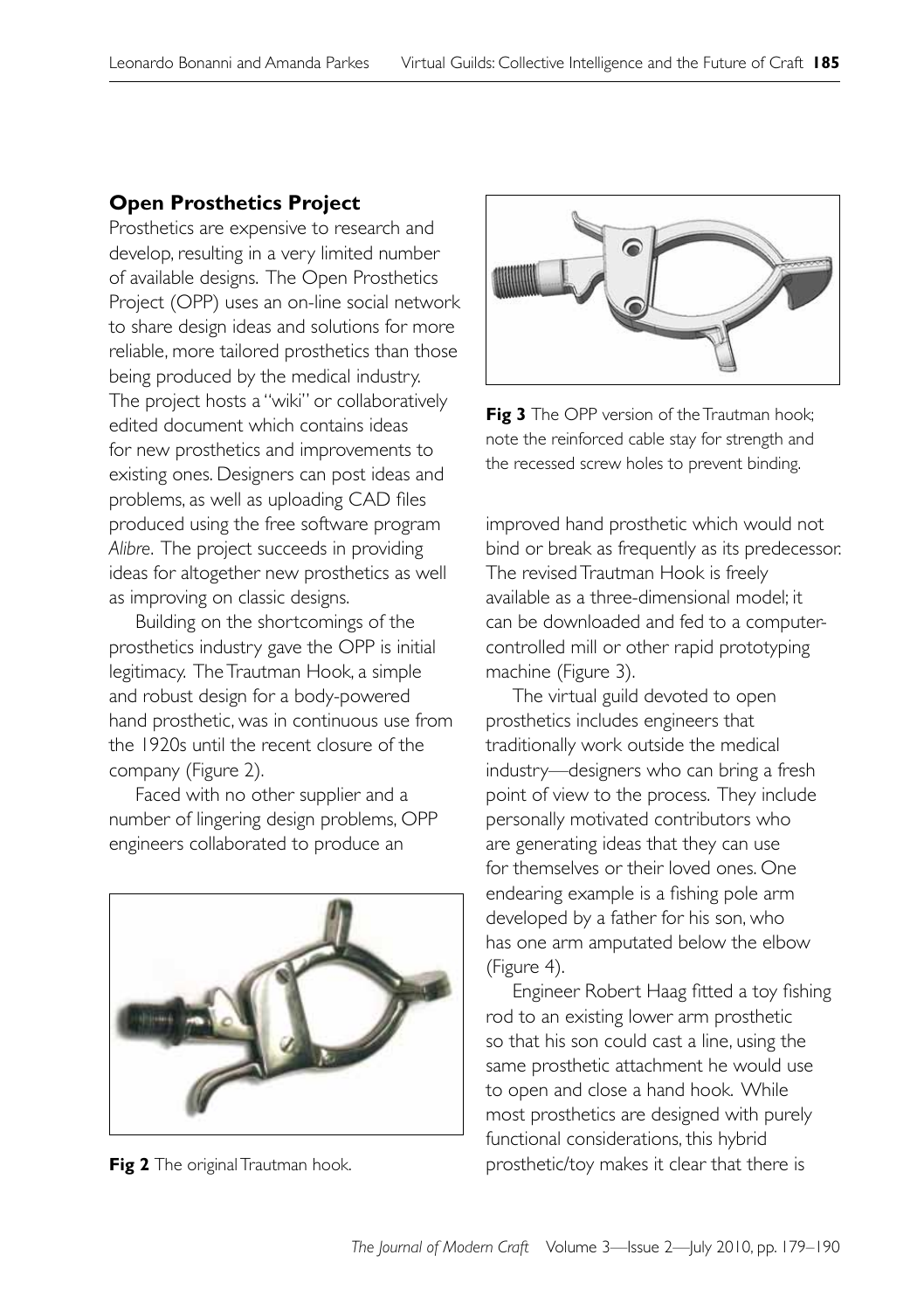# **Open Prosthetics Project**

Prosthetics are expensive to research and develop, resulting in a very limited number of available designs. The Open Prosthetics Project (OPP) uses an on-line social network to share design ideas and solutions for more reliable, more tailored prosthetics than those being produced by the medical industry. The project hosts a "wiki" or collaboratively edited document which contains ideas for new prosthetics and improvements to existing ones. Designers can post ideas and problems, as well as uploading CAD files produced using the free software program Alibre. The project succeeds in providing ideas for altogether new prosthetics as well as improving on classic designs.

Building on the shortcomings of the prosthetics industry gave the OPP is initial legitimacy. The Trautman Hook, a simple and robust design for a body-powered hand prosthetic, was in continuous use from the 1920s until the recent closure of the company (Figure 2).

Faced with no other supplier and a number of lingering design problems, OPP engineers collaborated to produce an



Fig 2 The original Trautman hook.



Fig 3 The OPP version of the Trautman hook; note the reinforced cable stay for strength and the recessed screw holes to prevent binding.

improved hand prosthetic which would not bind or break as frequently as its predecessor. The revised Trautman Hook is freely available as a three-dimensional model: it can be downloaded and fed to a computercontrolled mill or other rapid prototyping machine (Figure 3).

The virtual guild devoted to open prosthetics includes engineers that traditionally work outside the medical industry—designers who can bring a fresh point of view to the process. They include personally motivated contributors who are generating ideas that they can use for themselves or their loved ones. One endearing example is a fishing pole arm developed by a father for his son, who has one arm amputated below the elbow (Figure 4).

Engineer Robert Haag fitted a toy fishing rod to an existing lower arm prosthetic so that his son could cast a line, using the same prosthetic attachment he would use to open and close a hand hook. While most prosthetics are designed with purely functional considerations, this hybrid prosthetic/toy makes it clear that there is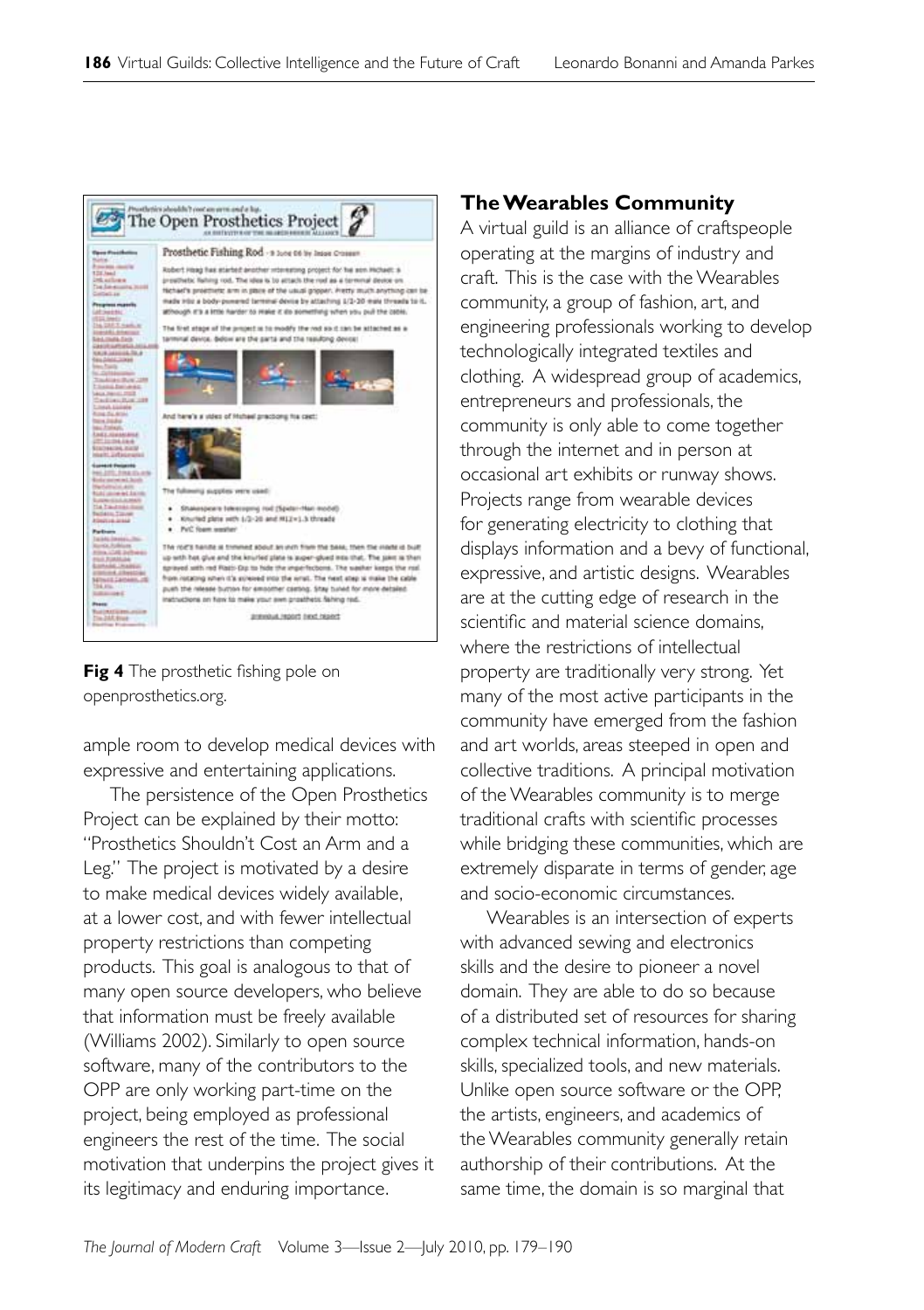

#### Fig 4 The prosthetic fishing pole on openprosthetics.org.

ample room to develop medical devices with expressive and entertaining applications.

The persistence of the Open Prosthetics Project can be explained by their motto: "Prosthetics Shouldn't Cost an Arm and a Leg." The project is motivated by a desire to make medical devices widely available, at a lower cost, and with fewer intellectual property restrictions than competing products. This goal is analogous to that of many open source developers, who believe that information must be freely available (Williams 2002). Similarly to open source software, many of the contributors to the OPP are only working part-time on the project, being employed as professional engineers the rest of the time. The social motivation that underpins the project gives it its legitimacy and enduring importance.

## **The Wearables Community**

A virtual guild is an alliance of craftspeople operating at the margins of industry and craft. This is the case with the Wearables community, a group of fashion, art, and engineering professionals working to develop technologically integrated textiles and clothing. A widespread group of academics, entrepreneurs and professionals, the community is only able to come together through the internet and in person at occasional art exhibits or runway shows. Projects range from wearable devices for generating electricity to clothing that displays information and a bevy of functional, expressive, and artistic designs. Wearables are at the cutting edge of research in the scientific and material science domains. where the restrictions of intellectual property are traditionally very strong. Yet many of the most active participants in the community have emerged from the fashion and art worlds, areas steeped in open and collective traditions. A principal motivation of the Wearables community is to merge traditional crafts with scientific processes while bridging these communities, which are extremely disparate in terms of gender, age and socio-economic circumstances.

Wearables is an intersection of experts with advanced sewing and electronics skills and the desire to pioneer a novel domain. They are able to do so because of a distributed set of resources for sharing complex technical information, hands-on skills, specialized tools, and new materials. Unlike open source software or the OPP, the artists, engineers, and academics of the Wearables community generally retain authorship of their contributions. At the same time, the domain is so marginal that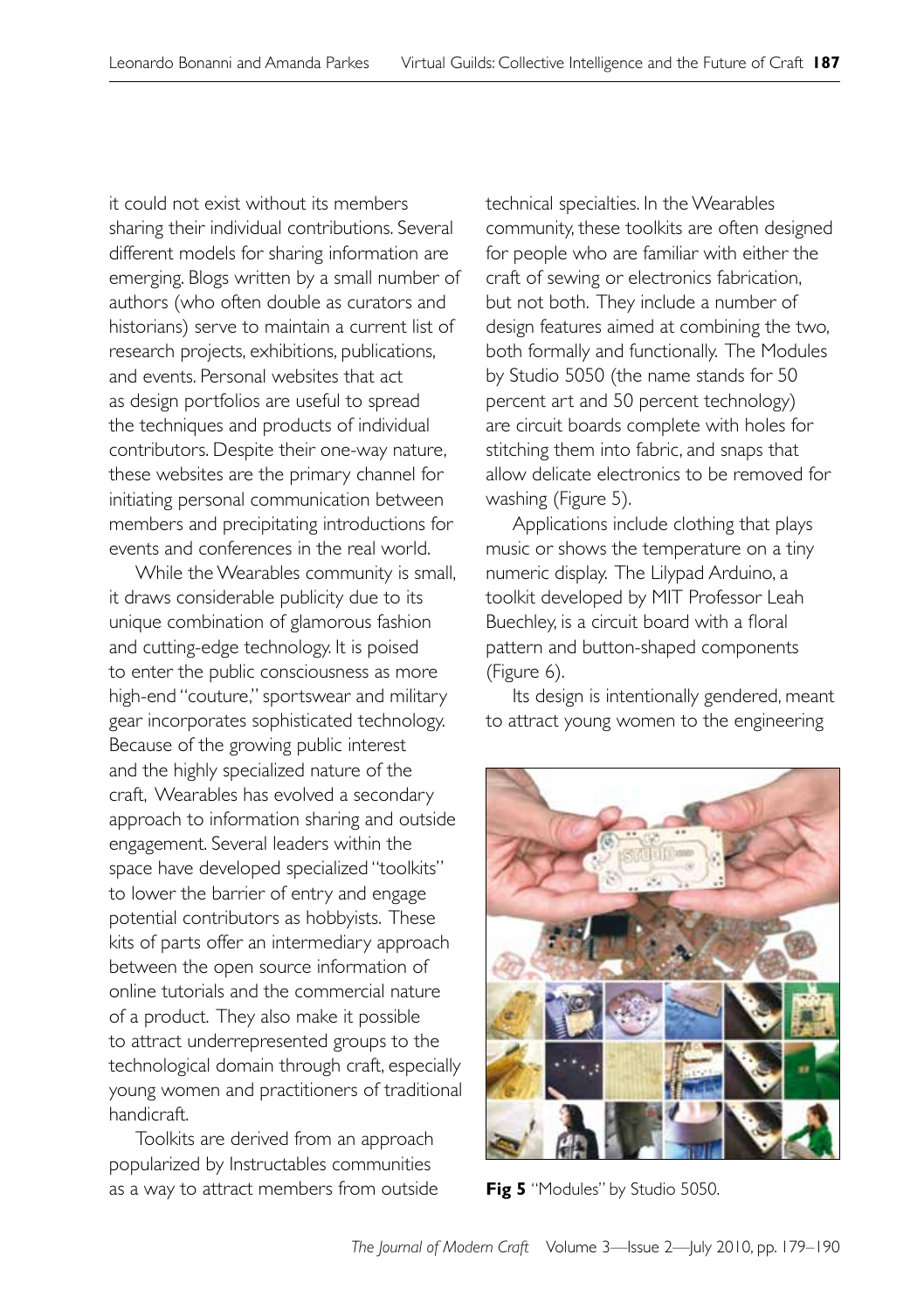it could not exist without its members sharing their individual contributions. Several different models for sharing information are emerging. Blogs written by a small number of authors (who often double as curators and historians) serve to maintain a current list of research projects, exhibitions, publications, and events. Personal websites that act as design portfolios are useful to spread the techniques and products of individual contributors. Despite their one-way nature, these websites are the primary channel for initiating personal communication between members and precipitating introductions for events and conferences in the real world.

While the Wearables community is small. it draws considerable publicity due to its unique combination of glamorous fashion and cutting-edge technology. It is poised to enter the public consciousness as more high-end "couture," sportswear and military gear incorporates sophisticated technology. Because of the growing public interest and the highly specialized nature of the craft, Wearables has evolved a secondary approach to information sharing and outside engagement. Several leaders within the space have developed specialized "toolkits" to lower the barrier of entry and engage potential contributors as hobbyists. These kits of parts offer an intermediary approach between the open source information of online tutorials and the commercial nature of a product. They also make it possible to attract underrepresented groups to the technological domain through craft, especially young women and practitioners of traditional handicraft.

Toolkits are derived from an approach popularized by Instructables communities as a way to attract members from outside technical specialties. In the Wearables community, these toolkits are often designed for people who are familiar with either the craft of sewing or electronics fabrication, but not both. They include a number of design features aimed at combining the two, both formally and functionally. The Modules by Studio 5050 (the name stands for 50 percent art and 50 percent technology) are circuit boards complete with holes for stitching them into fabric, and snaps that allow delicate electronics to be removed for washing (Figure 5).

Applications include clothing that plays music or shows the temperature on a tiny numeric display. The Lilypad Arduino, a toolkit developed by MIT Professor Leah Buechley, is a circuit board with a floral pattern and button-shaped components (Figure 6).

Its design is intentionally gendered, meant to attract young women to the engineering



Fig 5 "Modules" by Studio 5050.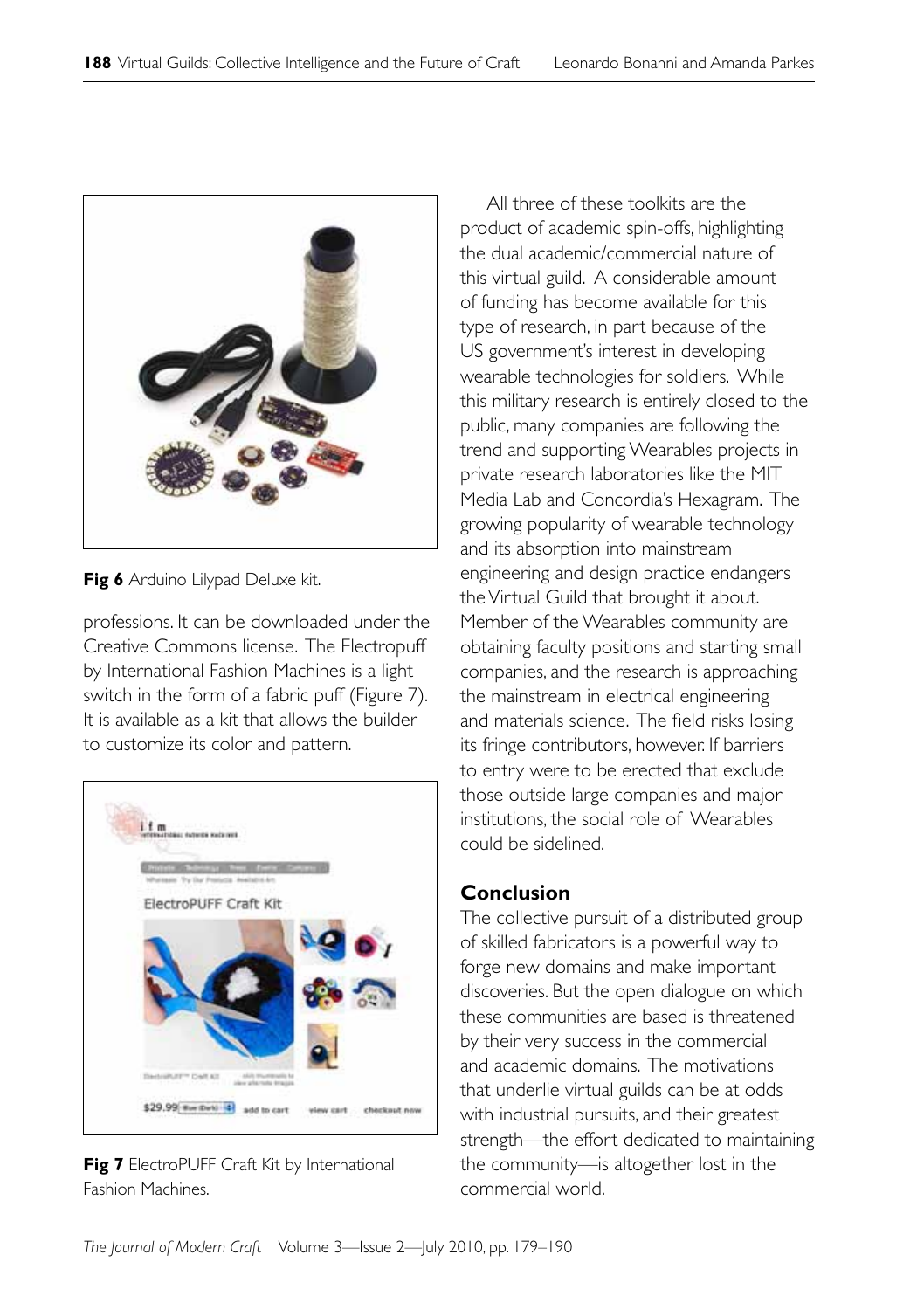

Fig 6 Arduino Lilypad Deluxe kit.

professions. It can be downloaded under the Creative Commons license. The Electropuff by International Fashion Machines is a light switch in the form of a fabric puff (Figure 7). It is available as a kit that allows the builder to customize its color and pattern.



Fig 7 ElectroPUFF Craft Kit by International **Fashion Machines** 

All three of these toolkits are the product of academic spin-offs, highlighting the dual academic/commercial nature of this virtual guild. A considerable amount of funding has become available for this type of research, in part because of the US government's interest in developing wearable technologies for soldiers. While this military research is entirely closed to the public, many companies are following the trend and supporting Wearables projects in private research laboratories like the MIT Media Lab and Concordia's Hexagram. The growing popularity of wearable technology and its absorption into mainstream engineering and design practice endangers the Virtual Guild that brought it about. Member of the Wearables community are obtaining faculty positions and starting small companies, and the research is approaching the mainstream in electrical engineering and materials science. The field risks losing its fringe contributors, however. If barriers to entry were to be erected that exclude those outside large companies and major institutions, the social role of Wearables could be sidelined.

## **Conclusion**

The collective pursuit of a distributed group of skilled fabricators is a powerful way to forge new domains and make important discoveries. But the open dialogue on which these communities are based is threatened by their very success in the commercial and academic domains. The motivations that underlie virtual guilds can be at odds with industrial pursuits, and their greatest strength-the effort dedicated to maintaining the community-is altogether lost in the commercial world.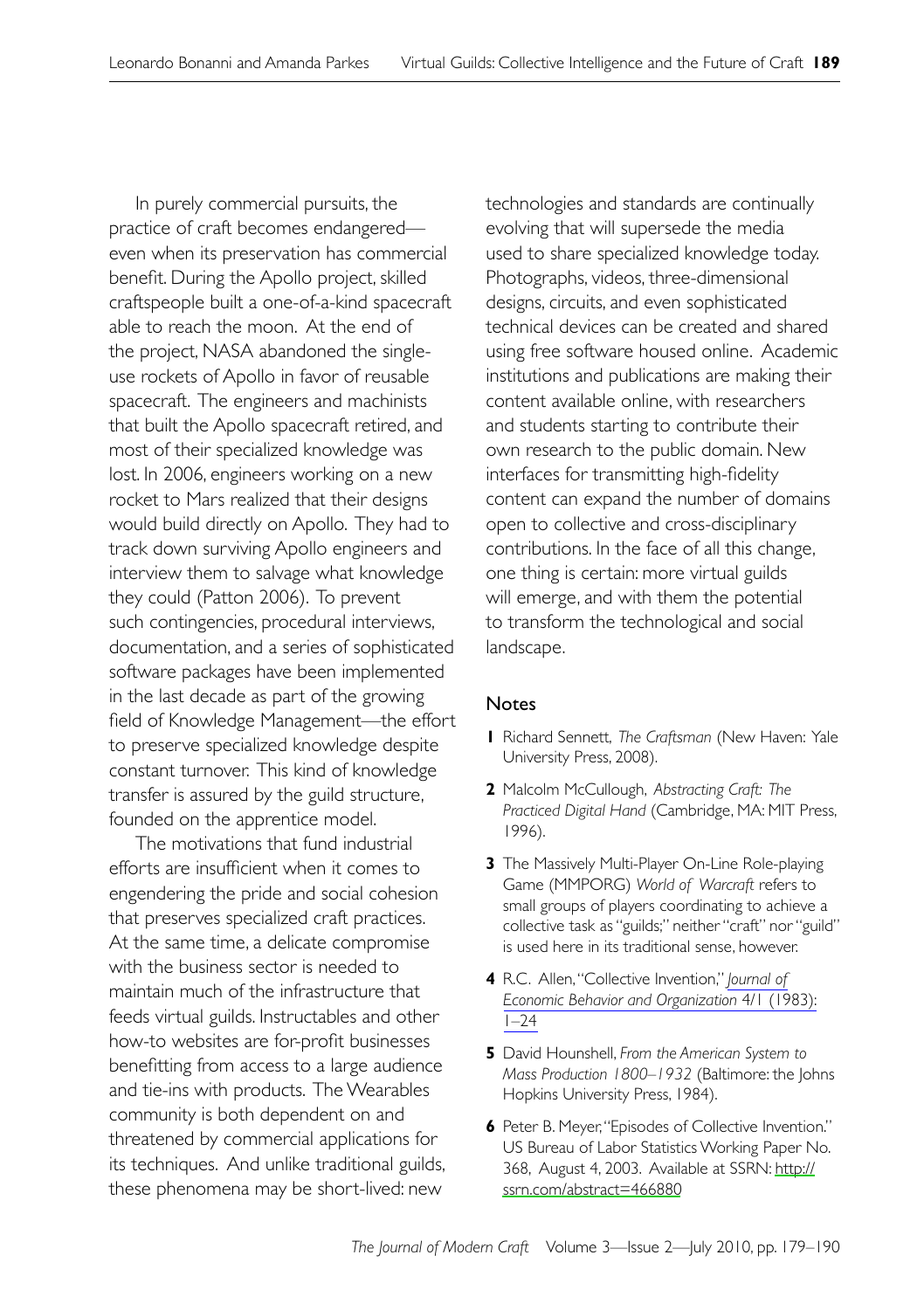In purely commercial pursuits, the practice of craft becomes endangeredeven when its preservation has commercial benefit. During the Apollo project, skilled craftspeople built a one-of-a-kind spacecraft able to reach the moon. At the end of the project, NASA abandoned the singleuse rockets of Apollo in favor of reusable spacecraft. The engineers and machinists that built the Apollo spacecraft retired, and most of their specialized knowledge was lost. In 2006, engineers working on a new rocket to Mars realized that their designs would build directly on Apollo. They had to track down surviving Apollo engineers and interview them to salvage what knowledge they could (Patton 2006). To prevent such contingencies, procedural interviews, documentation, and a series of sophisticated software packages have been implemented in the last decade as part of the growing field of Knowledge Management-the effort to preserve specialized knowledge despite constant turnover. This kind of knowledge transfer is assured by the guild structure, founded on the apprentice model.

The motivations that fund industrial efforts are insufficient when it comes to engendering the pride and social cohesion that preserves specialized craft practices. At the same time, a delicate compromise with the business sector is needed to maintain much of the infrastructure that feeds virtual guilds. Instructables and other how-to websites are for-profit businesses benefitting from access to a large audience and tie-ins with products. The Wearables community is both dependent on and threatened by commercial applications for its techniques. And unlike traditional guilds, these phenomena may be short-lived: new

technologies and standards are continually evolving that will supersede the media used to share specialized knowledge today. Photographs, videos, three-dimensional designs, circuits, and even sophisticated technical devices can be created and shared using free software housed online. Academic institutions and publications are making their content available online, with researchers and students starting to contribute their own research to the public domain. New interfaces for transmitting high-fidelity content can expand the number of domains open to collective and cross-disciplinary contributions. In the face of all this change, one thing is certain: more virtual guilds will emerge, and with them the potential to transform the technological and social landscape.

#### **Notes**

- Richard Sennett, The Craftsman (New Haven: Yale University Press, 2008).
- 2 Malcolm McCullough, Abstracting Craft: The Practiced Digital Hand (Cambridge, MA: MIT Press, 1996).
- 3 The Massively Multi-Player On-Line Role-playing Game (MMPORG) World of Warcraft refers to small groups of players coordinating to achieve a collective task as "guilds;" neither "craft" nor "guild" is used here in its traditional sense, however.
- 4 R.C. Allen, "Collective Invention," Journal of Economic Behavior and Organization 4/1 (1983):  $1 - 24$
- 5 David Hounshell, From the American System to Mass Production 1800-1932 (Baltimore: the Johns Hopkins University Press, 1984).
- 6 Peter B. Meyer, "Episodes of Collective Invention." US Bureau of Labor Statistics Working Paper No. 368, August 4, 2003. Available at SSRN: http:// ssrn.com/abstract=466880